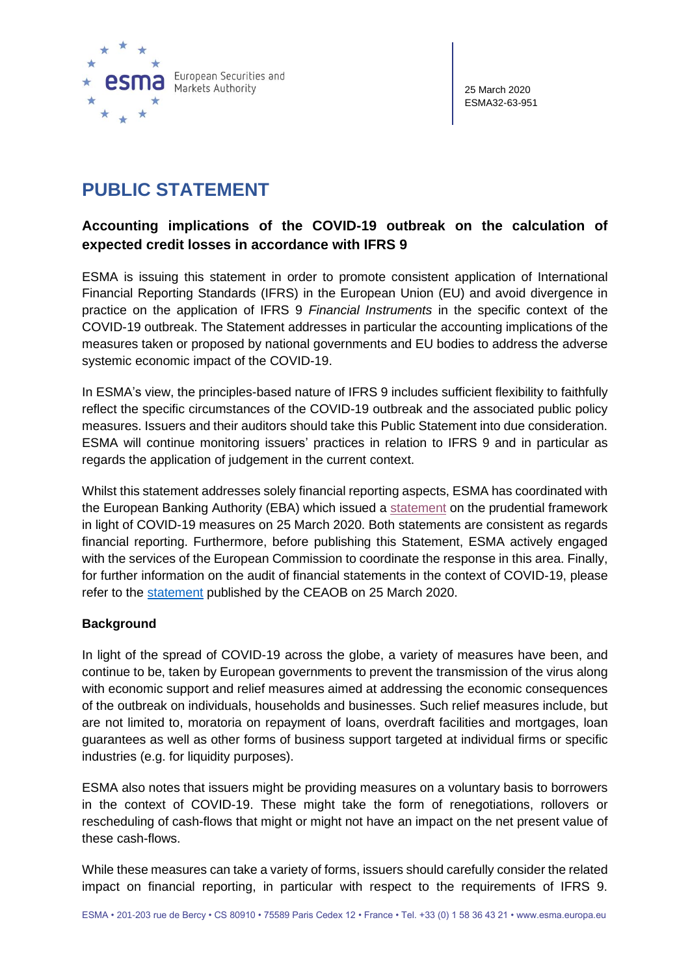

25 March 2020 ESMA32-63-951

# **PUBLIC STATEMENT**

# **Accounting implications of the COVID-19 outbreak on the calculation of expected credit losses in accordance with IFRS 9**

ESMA is issuing this statement in order to promote consistent application of International Financial Reporting Standards (IFRS) in the European Union (EU) and avoid divergence in practice on the application of IFRS 9 *Financial Instruments* in the specific context of the COVID-19 outbreak. The Statement addresses in particular the accounting implications of the measures taken or proposed by national governments and EU bodies to address the adverse systemic economic impact of the COVID-19.

In ESMA's view, the principles-based nature of IFRS 9 includes sufficient flexibility to faithfully reflect the specific circumstances of the COVID-19 outbreak and the associated public policy measures. Issuers and their auditors should take this Public Statement into due consideration. ESMA will continue monitoring issuers' practices in relation to IFRS 9 and in particular as regards the application of judgement in the current context.

Whilst this statement addresses solely financial reporting aspects, ESMA has coordinated with the European Banking Authority (EBA) which issued a [statement](https://eba.europa.eu/sites/default/documents/files/document_library/News%20and%20Press/Press%20Room/Press%20Releases/2020/EBA%20provides%20clarity%20to%20banks%20and%20consumers%20on%20the%20application%20of%20the%20prudential%20framework%20in%20light%20of%20COVID-19%20measures/Statement%20on%20the%20application%20of%20the%20prudential%20framework%20regarding%20Default%2C%20Forbearance%20and%20IFRS9%20in%20light%20of%20COVID-19%20measures.pdf) on the prudential framework in light of COVID-19 measures on 25 March 2020. Both statements are consistent as regards financial reporting. Furthermore, before publishing this Statement, ESMA actively engaged with the services of the European Commission to coordinate the response in this area. Finally, for further information on the audit of financial statements in the context of COVID-19, please refer to the [statement](https://ec.europa.eu/info/sites/info/files/business_economy_euro/banking_and_finance/documents/200325-ceaob-statement-covid-19_en.pdf) published by the CEAOB on 25 March 2020.

### **Background**

In light of the spread of COVID-19 across the globe, a variety of measures have been, and continue to be, taken by European governments to prevent the transmission of the virus along with economic support and relief measures aimed at addressing the economic consequences of the outbreak on individuals, households and businesses. Such relief measures include, but are not limited to, moratoria on repayment of loans, overdraft facilities and mortgages, loan guarantees as well as other forms of business support targeted at individual firms or specific industries (e.g. for liquidity purposes).

ESMA also notes that issuers might be providing measures on a voluntary basis to borrowers in the context of COVID-19. These might take the form of renegotiations, rollovers or rescheduling of cash-flows that might or might not have an impact on the net present value of these cash-flows.

While these measures can take a variety of forms, issuers should carefully consider the related impact on financial reporting, in particular with respect to the requirements of IFRS 9.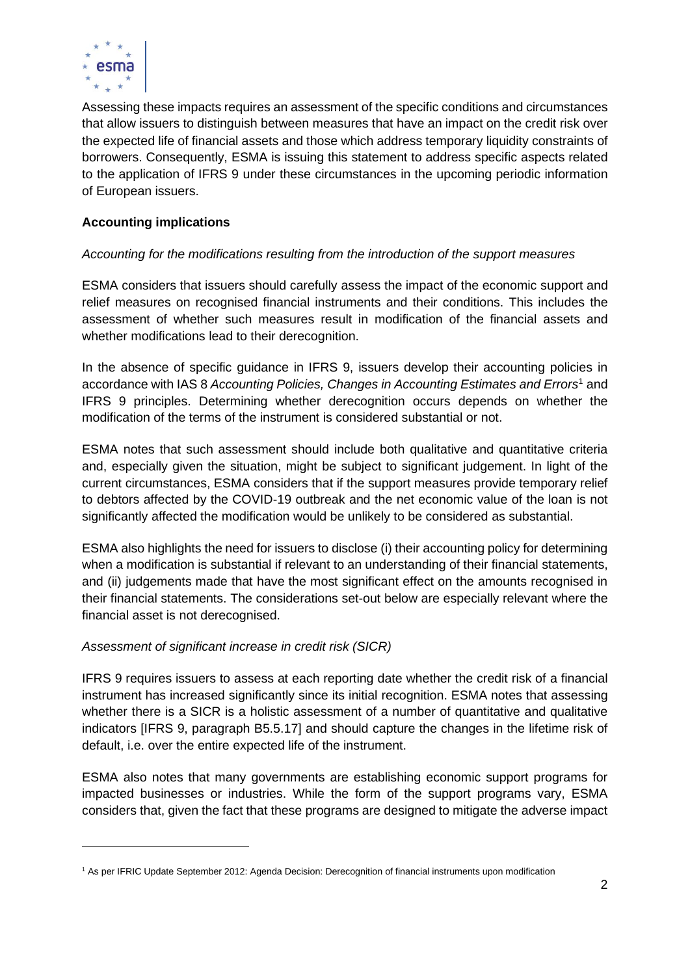

Assessing these impacts requires an assessment of the specific conditions and circumstances that allow issuers to distinguish between measures that have an impact on the credit risk over the expected life of financial assets and those which address temporary liquidity constraints of borrowers. Consequently, ESMA is issuing this statement to address specific aspects related to the application of IFRS 9 under these circumstances in the upcoming periodic information of European issuers.

## **Accounting implications**

### *Accounting for the modifications resulting from the introduction of the support measures*

ESMA considers that issuers should carefully assess the impact of the economic support and relief measures on recognised financial instruments and their conditions. This includes the assessment of whether such measures result in modification of the financial assets and whether modifications lead to their derecognition.

In the absence of specific guidance in IFRS 9, issuers develop their accounting policies in accordance with IAS 8 *Accounting Policies, Changes in Accounting Estimates and Errors*<sup>1</sup> and IFRS 9 principles. Determining whether derecognition occurs depends on whether the modification of the terms of the instrument is considered substantial or not.

ESMA notes that such assessment should include both qualitative and quantitative criteria and, especially given the situation, might be subject to significant judgement. In light of the current circumstances, ESMA considers that if the support measures provide temporary relief to debtors affected by the COVID-19 outbreak and the net economic value of the loan is not significantly affected the modification would be unlikely to be considered as substantial.

ESMA also highlights the need for issuers to disclose (i) their accounting policy for determining when a modification is substantial if relevant to an understanding of their financial statements, and (ii) judgements made that have the most significant effect on the amounts recognised in their financial statements. The considerations set-out below are especially relevant where the financial asset is not derecognised.

#### *Assessment of significant increase in credit risk (SICR)*

IFRS 9 requires issuers to assess at each reporting date whether the credit risk of a financial instrument has increased significantly since its initial recognition. ESMA notes that assessing whether there is a SICR is a holistic assessment of a number of quantitative and qualitative indicators [IFRS 9, paragraph B5.5.17] and should capture the changes in the lifetime risk of default, i.e. over the entire expected life of the instrument.

ESMA also notes that many governments are establishing economic support programs for impacted businesses or industries. While the form of the support programs vary, ESMA considers that, given the fact that these programs are designed to mitigate the adverse impact

<sup>1</sup> As per IFRIC Update September 2012: Agenda Decision: Derecognition of financial instruments upon modification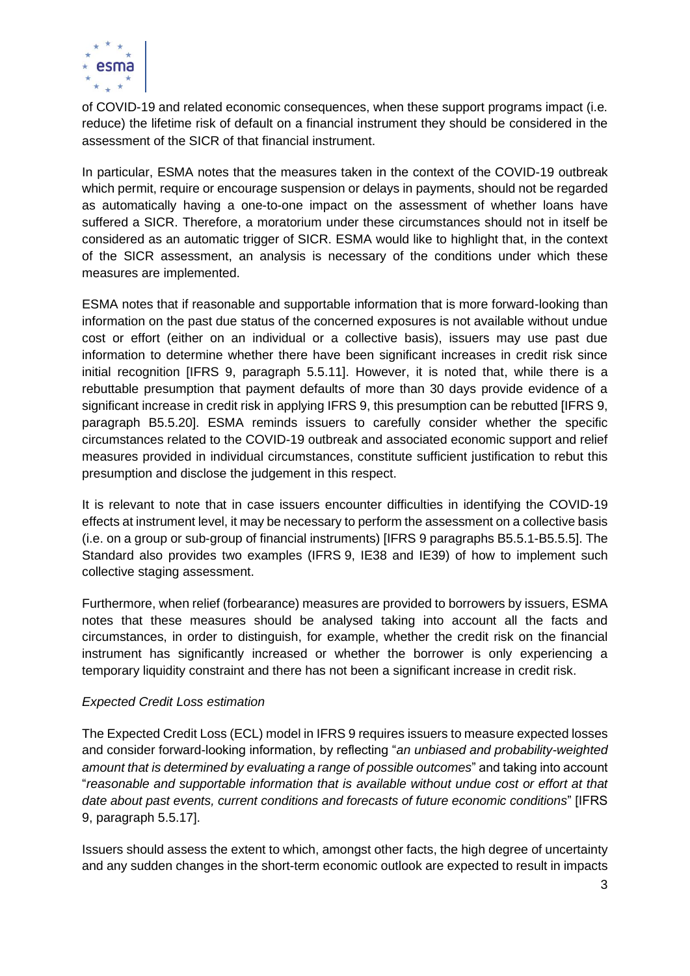

of COVID-19 and related economic consequences, when these support programs impact (i.e. reduce) the lifetime risk of default on a financial instrument they should be considered in the assessment of the SICR of that financial instrument.

In particular, ESMA notes that the measures taken in the context of the COVID-19 outbreak which permit, require or encourage suspension or delays in payments, should not be regarded as automatically having a one-to-one impact on the assessment of whether loans have suffered a SICR. Therefore, a moratorium under these circumstances should not in itself be considered as an automatic trigger of SICR. ESMA would like to highlight that, in the context of the SICR assessment, an analysis is necessary of the conditions under which these measures are implemented.

ESMA notes that if reasonable and supportable information that is more forward-looking than information on the past due status of the concerned exposures is not available without undue cost or effort (either on an individual or a collective basis), issuers may use past due information to determine whether there have been significant increases in credit risk since initial recognition [IFRS 9, paragraph 5.5.11]. However, it is noted that, while there is a rebuttable presumption that payment defaults of more than 30 days provide evidence of a significant increase in credit risk in applying IFRS 9, this presumption can be rebutted [IFRS 9, paragraph B5.5.20]. ESMA reminds issuers to carefully consider whether the specific circumstances related to the COVID-19 outbreak and associated economic support and relief measures provided in individual circumstances, constitute sufficient justification to rebut this presumption and disclose the judgement in this respect.

It is relevant to note that in case issuers encounter difficulties in identifying the COVID-19 effects at instrument level, it may be necessary to perform the assessment on a collective basis (i.e. on a group or sub-group of financial instruments) [IFRS 9 paragraphs B5.5.1-B5.5.5]. The Standard also provides two examples (IFRS 9, IE38 and IE39) of how to implement such collective staging assessment.

Furthermore, when relief (forbearance) measures are provided to borrowers by issuers, ESMA notes that these measures should be analysed taking into account all the facts and circumstances, in order to distinguish, for example, whether the credit risk on the financial instrument has significantly increased or whether the borrower is only experiencing a temporary liquidity constraint and there has not been a significant increase in credit risk.

#### *Expected Credit Loss estimation*

The Expected Credit Loss (ECL) model in IFRS 9 requires issuers to measure expected losses and consider forward-looking information, by reflecting "*an unbiased and probability-weighted amount that is determined by evaluating a range of possible outcomes*" and taking into account "*reasonable and supportable information that is available without undue cost or effort at that date about past events, current conditions and forecasts of future economic conditions*" [IFRS 9, paragraph 5.5.17].

Issuers should assess the extent to which, amongst other facts, the high degree of uncertainty and any sudden changes in the short-term economic outlook are expected to result in impacts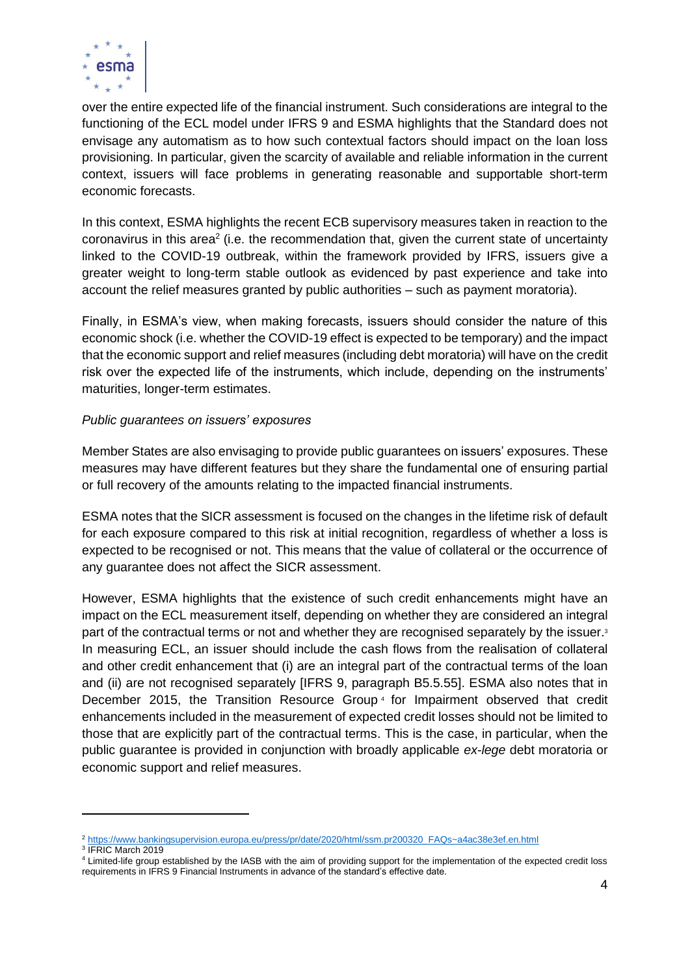

over the entire expected life of the financial instrument. Such considerations are integral to the functioning of the ECL model under IFRS 9 and ESMA highlights that the Standard does not envisage any automatism as to how such contextual factors should impact on the loan loss provisioning. In particular, given the scarcity of available and reliable information in the current context, issuers will face problems in generating reasonable and supportable short-term economic forecasts.

In this context, ESMA highlights the recent ECB supervisory measures taken in reaction to the coronavirus in this area<sup>2</sup> (i.e. the recommendation that, given the current state of uncertainty linked to the COVID-19 outbreak, within the framework provided by IFRS, issuers give a greater weight to long-term stable outlook as evidenced by past experience and take into account the relief measures granted by public authorities – such as payment moratoria).

Finally, in ESMA's view, when making forecasts, issuers should consider the nature of this economic shock (i.e. whether the COVID-19 effect is expected to be temporary) and the impact that the economic support and relief measures (including debt moratoria) will have on the credit risk over the expected life of the instruments, which include, depending on the instruments' maturities, longer-term estimates.

#### *Public guarantees on issuers' exposures*

Member States are also envisaging to provide public guarantees on issuers' exposures. These measures may have different features but they share the fundamental one of ensuring partial or full recovery of the amounts relating to the impacted financial instruments.

ESMA notes that the SICR assessment is focused on the changes in the lifetime risk of default for each exposure compared to this risk at initial recognition, regardless of whether a loss is expected to be recognised or not. This means that the value of collateral or the occurrence of any guarantee does not affect the SICR assessment.

However, ESMA highlights that the existence of such credit enhancements might have an impact on the ECL measurement itself, depending on whether they are considered an integral part of the contractual terms or not and whether they are recognised separately by the issuer. In measuring ECL, an issuer should include the cash flows from the realisation of collateral and other credit enhancement that (i) are an integral part of the contractual terms of the loan and (ii) are not recognised separately [IFRS 9, paragraph B5.5.55]. ESMA also notes that in December 2015, the Transition Resource Group<sup>4</sup> for Impairment observed that credit enhancements included in the measurement of expected credit losses should not be limited to those that are explicitly part of the contractual terms. This is the case, in particular, when the public guarantee is provided in conjunction with broadly applicable *ex-lege* debt moratoria or economic support and relief measures.

<sup>2</sup> [https://www.bankingsupervision.europa.eu/press/pr/date/2020/html/ssm.pr200320\\_FAQs~a4ac38e3ef.en.html](https://www.bankingsupervision.europa.eu/press/pr/date/2020/html/ssm.pr200320_FAQs~a4ac38e3ef.en.html)

<sup>3</sup> IFRIC March 2019

<sup>4</sup> Limited-life group established by the IASB with the aim of providing support for the implementation of the expected credit loss requirements in IFRS 9 Financial Instruments in advance of the standard's effective date.